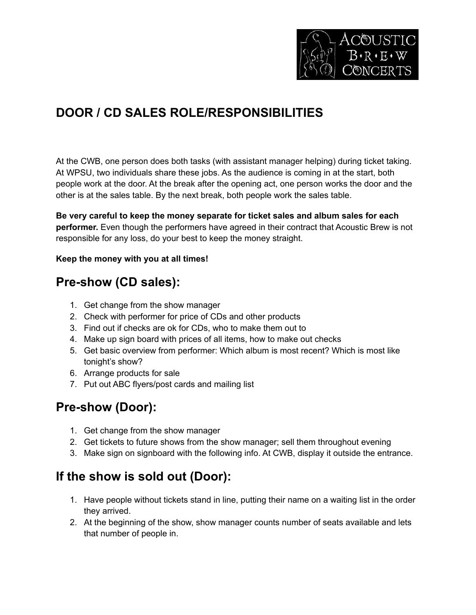

# **DOOR / CD SALES ROLE/RESPONSIBILITIES**

At the CWB, one person does both tasks (with assistant manager helping) during ticket taking. At WPSU, two individuals share these jobs. As the audience is coming in at the start, both people work at the door. At the break after the opening act, one person works the door and the other is at the sales table. By the next break, both people work the sales table.

**Be very careful to keep the money separate for ticket sales and album sales for each performer.** Even though the performers have agreed in their contract that Acoustic Brew is not responsible for any loss, do your best to keep the money straight.

#### **Keep the money with you at all times!**

#### **Pre-show (CD sales):**

- 1. Get change from the show manager
- 2. Check with performer for price of CDs and other products
- 3. Find out if checks are ok for CDs, who to make them out to
- 4. Make up sign board with prices of all items, how to make out checks
- 5. Get basic overview from performer: Which album is most recent? Which is most like tonight's show?
- 6. Arrange products for sale
- 7. Put out ABC flyers/post cards and mailing list

## **Pre-show (Door):**

- 1. Get change from the show manager
- 2. Get tickets to future shows from the show manager; sell them throughout evening
- 3. Make sign on signboard with the following info. At CWB, display it outside the entrance.

#### **If the show is sold out (Door):**

- 1. Have people without tickets stand in line, putting their name on a waiting list in the order they arrived.
- 2. At the beginning of the show, show manager counts number of seats available and lets that number of people in.